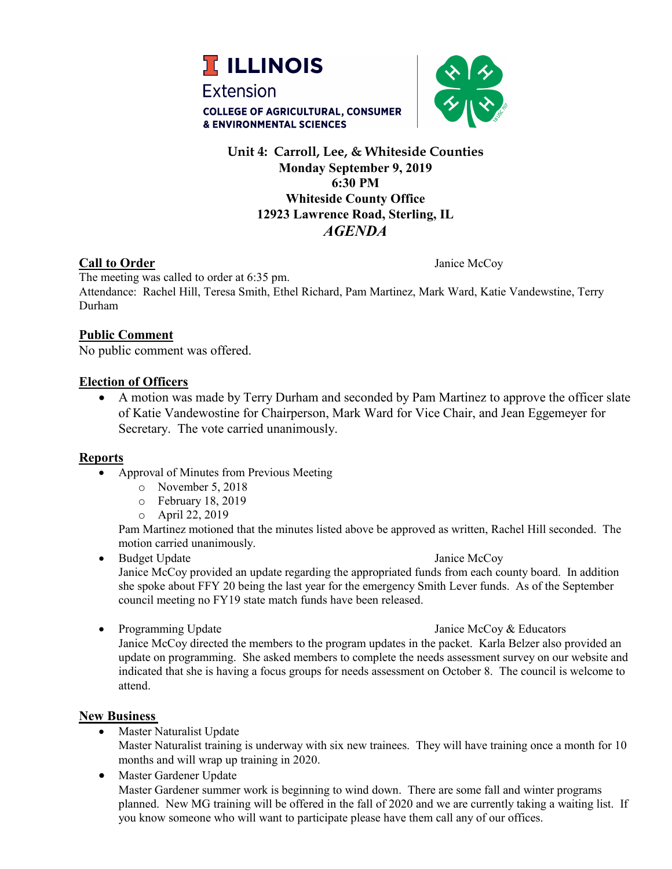



# **Unit 4: Carroll, Lee, & Whiteside Counties Monday September 9, 2019 6:30 PM Whiteside County Office 12923 Lawrence Road, Sterling, IL** *AGENDA*

# **Call to Order** Janice McCoy

The meeting was called to order at 6:35 pm. Attendance: Rachel Hill, Teresa Smith, Ethel Richard, Pam Martinez, Mark Ward, Katie Vandewstine, Terry Durham

# **Public Comment**

No public comment was offered.

# **Election of Officers**

• A motion was made by Terry Durham and seconded by Pam Martinez to approve the officer slate of Katie Vandewostine for Chairperson, Mark Ward for Vice Chair, and Jean Eggemeyer for Secretary. The vote carried unanimously.

# **Reports**

- Approval of Minutes from Previous Meeting
	- o November 5, 2018
	- o February 18, 2019
	- o April 22, 2019

Pam Martinez motioned that the minutes listed above be approved as written, Rachel Hill seconded. The motion carried unanimously.

• Budget Update Janice McCoy

Janice McCoy provided an update regarding the appropriated funds from each county board. In addition she spoke about FFY 20 being the last year for the emergency Smith Lever funds. As of the September council meeting no FY19 state match funds have been released.

• Programming Update Service State Janice McCoy & Educators

Janice McCoy directed the members to the program updates in the packet. Karla Belzer also provided an update on programming. She asked members to complete the needs assessment survey on our website and indicated that she is having a focus groups for needs assessment on October 8. The council is welcome to attend.

# **New Business**

- Master Naturalist Update Master Naturalist training is underway with six new trainees. They will have training once a month for 10 months and will wrap up training in 2020.
- Master Gardener Update Master Gardener summer work is beginning to wind down. There are some fall and winter programs planned. New MG training will be offered in the fall of 2020 and we are currently taking a waiting list. If you know someone who will want to participate please have them call any of our offices.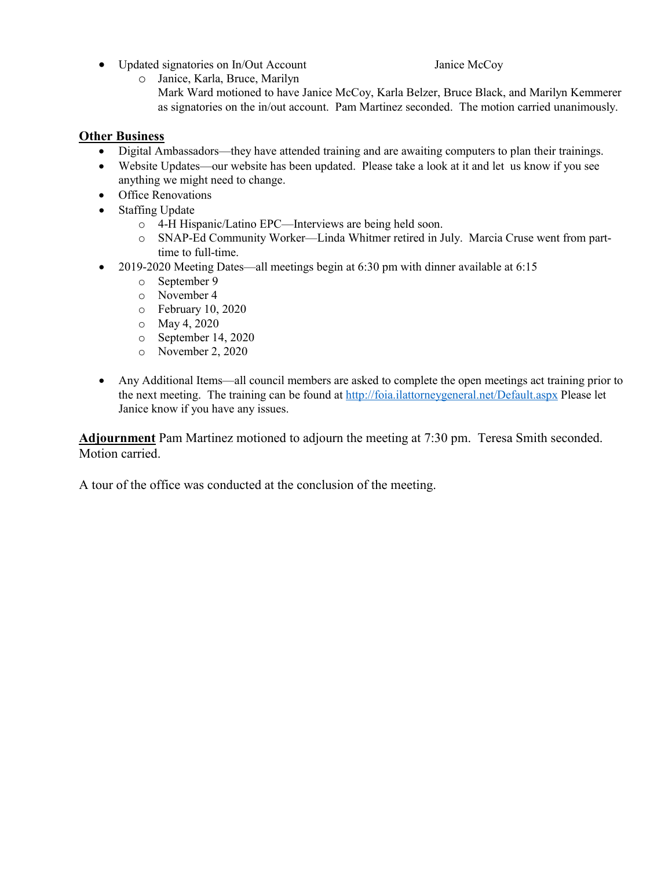- Updated signatories on In/Out Account Janice McCoy
	-
- o Janice, Karla, Bruce, Marilyn
	- Mark Ward motioned to have Janice McCoy, Karla Belzer, Bruce Black, and Marilyn Kemmerer as signatories on the in/out account. Pam Martinez seconded. The motion carried unanimously.

# **Other Business**

- Digital Ambassadors—they have attended training and are awaiting computers to plan their trainings.
- Website Updates—our website has been updated. Please take a look at it and let us know if you see anything we might need to change.
- Office Renovations
- Staffing Update
	- o 4-H Hispanic/Latino EPC—Interviews are being held soon.
	- o SNAP-Ed Community Worker—Linda Whitmer retired in July. Marcia Cruse went from parttime to full-time.
- 2019-2020 Meeting Dates—all meetings begin at 6:30 pm with dinner available at 6:15
	- o September 9
	- o November 4
	- o February 10, 2020
	- o May 4, 2020
	- o September 14, 2020
	- o November 2, 2020
- Any Additional Items—all council members are asked to complete the open meetings act training prior to the next meeting. The training can be found at<http://foia.ilattorneygeneral.net/Default.aspx> Please let Janice know if you have any issues.

**Adjournment** Pam Martinez motioned to adjourn the meeting at 7:30 pm. Teresa Smith seconded. Motion carried.

A tour of the office was conducted at the conclusion of the meeting.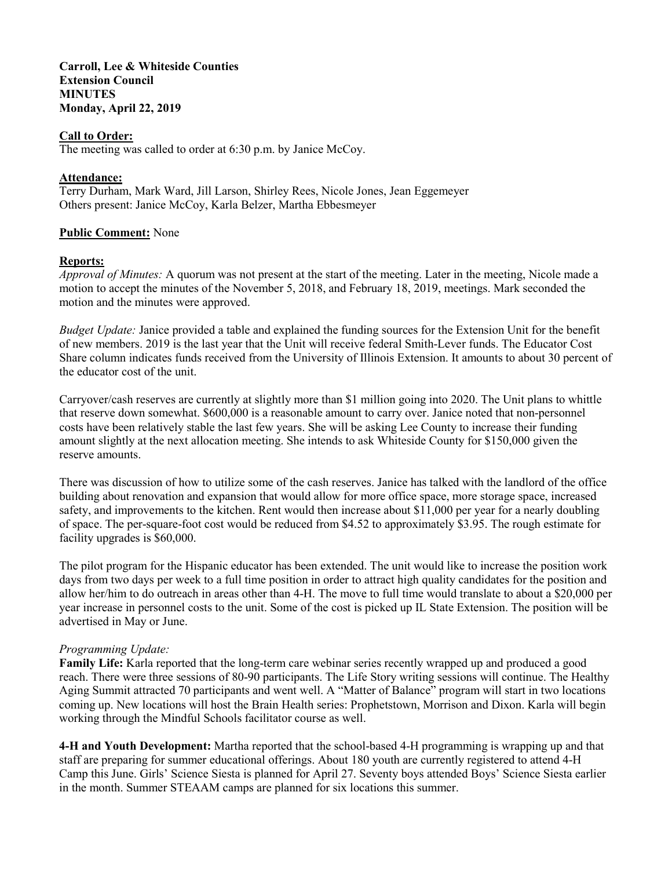**Carroll, Lee & Whiteside Counties Extension Council MINUTES Monday, April 22, 2019**

## **Call to Order:**

The meeting was called to order at 6:30 p.m. by Janice McCoy.

## **Attendance:**

Terry Durham, Mark Ward, Jill Larson, Shirley Rees, Nicole Jones, Jean Eggemeyer Others present: Janice McCoy, Karla Belzer, Martha Ebbesmeyer

### **Public Comment:** None

### **Reports:**

*Approval of Minutes:* A quorum was not present at the start of the meeting. Later in the meeting, Nicole made a motion to accept the minutes of the November 5, 2018, and February 18, 2019, meetings. Mark seconded the motion and the minutes were approved.

*Budget Update:* Janice provided a table and explained the funding sources for the Extension Unit for the benefit of new members. 2019 is the last year that the Unit will receive federal Smith-Lever funds. The Educator Cost Share column indicates funds received from the University of Illinois Extension. It amounts to about 30 percent of the educator cost of the unit.

Carryover/cash reserves are currently at slightly more than \$1 million going into 2020. The Unit plans to whittle that reserve down somewhat. \$600,000 is a reasonable amount to carry over. Janice noted that non-personnel costs have been relatively stable the last few years. She will be asking Lee County to increase their funding amount slightly at the next allocation meeting. She intends to ask Whiteside County for \$150,000 given the reserve amounts.

There was discussion of how to utilize some of the cash reserves. Janice has talked with the landlord of the office building about renovation and expansion that would allow for more office space, more storage space, increased safety, and improvements to the kitchen. Rent would then increase about \$11,000 per year for a nearly doubling of space. The per-square-foot cost would be reduced from \$4.52 to approximately \$3.95. The rough estimate for facility upgrades is \$60,000.

The pilot program for the Hispanic educator has been extended. The unit would like to increase the position work days from two days per week to a full time position in order to attract high quality candidates for the position and allow her/him to do outreach in areas other than 4-H. The move to full time would translate to about a \$20,000 per year increase in personnel costs to the unit. Some of the cost is picked up IL State Extension. The position will be advertised in May or June.

## *Programming Update:*

**Family Life:** Karla reported that the long-term care webinar series recently wrapped up and produced a good reach. There were three sessions of 80-90 participants. The Life Story writing sessions will continue. The Healthy Aging Summit attracted 70 participants and went well. A "Matter of Balance" program will start in two locations coming up. New locations will host the Brain Health series: Prophetstown, Morrison and Dixon. Karla will begin working through the Mindful Schools facilitator course as well.

**4-H and Youth Development:** Martha reported that the school-based 4-H programming is wrapping up and that staff are preparing for summer educational offerings. About 180 youth are currently registered to attend 4-H Camp this June. Girls' Science Siesta is planned for April 27. Seventy boys attended Boys' Science Siesta earlier in the month. Summer STEAAM camps are planned for six locations this summer.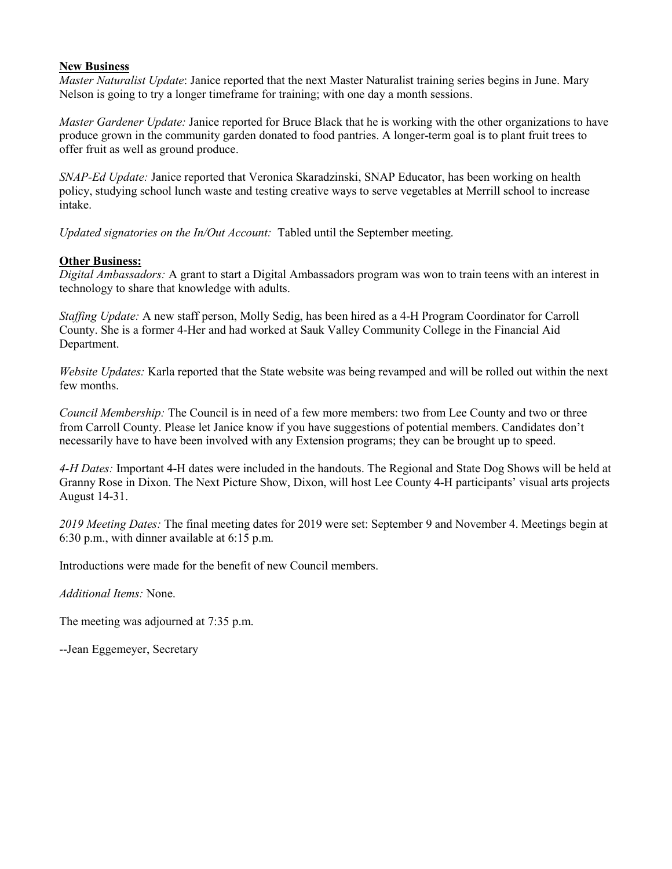## **New Business**

*Master Naturalist Update*: Janice reported that the next Master Naturalist training series begins in June. Mary Nelson is going to try a longer timeframe for training; with one day a month sessions.

*Master Gardener Update:* Janice reported for Bruce Black that he is working with the other organizations to have produce grown in the community garden donated to food pantries. A longer-term goal is to plant fruit trees to offer fruit as well as ground produce.

*SNAP-Ed Update:* Janice reported that Veronica Skaradzinski, SNAP Educator, has been working on health policy, studying school lunch waste and testing creative ways to serve vegetables at Merrill school to increase intake.

*Updated signatories on the In/Out Account:* Tabled until the September meeting.

## **Other Business:**

*Digital Ambassadors:* A grant to start a Digital Ambassadors program was won to train teens with an interest in technology to share that knowledge with adults.

*Staffing Update:* A new staff person, Molly Sedig, has been hired as a 4-H Program Coordinator for Carroll County. She is a former 4-Her and had worked at Sauk Valley Community College in the Financial Aid Department.

*Website Updates:* Karla reported that the State website was being revamped and will be rolled out within the next few months.

*Council Membership:* The Council is in need of a few more members: two from Lee County and two or three from Carroll County. Please let Janice know if you have suggestions of potential members. Candidates don't necessarily have to have been involved with any Extension programs; they can be brought up to speed.

*4-H Dates:* Important 4-H dates were included in the handouts. The Regional and State Dog Shows will be held at Granny Rose in Dixon. The Next Picture Show, Dixon, will host Lee County 4-H participants' visual arts projects August 14-31.

*2019 Meeting Dates:* The final meeting dates for 2019 were set: September 9 and November 4. Meetings begin at 6:30 p.m., with dinner available at 6:15 p.m.

Introductions were made for the benefit of new Council members.

*Additional Items:* None.

The meeting was adjourned at 7:35 p.m.

--Jean Eggemeyer, Secretary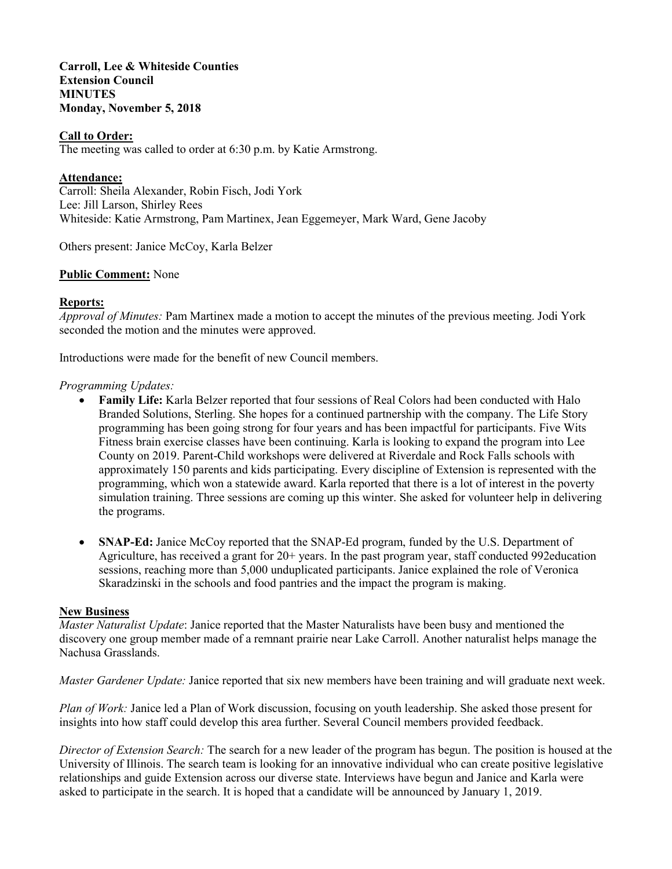**Carroll, Lee & Whiteside Counties Extension Council MINUTES Monday, November 5, 2018**

## **Call to Order:**

The meeting was called to order at 6:30 p.m. by Katie Armstrong.

# **Attendance:**

Carroll: Sheila Alexander, Robin Fisch, Jodi York Lee: Jill Larson, Shirley Rees Whiteside: Katie Armstrong, Pam Martinex, Jean Eggemeyer, Mark Ward, Gene Jacoby

Others present: Janice McCoy, Karla Belzer

### **Public Comment:** None

### **Reports:**

*Approval of Minutes:* Pam Martinex made a motion to accept the minutes of the previous meeting. Jodi York seconded the motion and the minutes were approved.

Introductions were made for the benefit of new Council members.

### *Programming Updates:*

- **Family Life:** Karla Belzer reported that four sessions of Real Colors had been conducted with Halo Branded Solutions, Sterling. She hopes for a continued partnership with the company. The Life Story programming has been going strong for four years and has been impactful for participants. Five Wits Fitness brain exercise classes have been continuing. Karla is looking to expand the program into Lee County on 2019. Parent-Child workshops were delivered at Riverdale and Rock Falls schools with approximately 150 parents and kids participating. Every discipline of Extension is represented with the programming, which won a statewide award. Karla reported that there is a lot of interest in the poverty simulation training. Three sessions are coming up this winter. She asked for volunteer help in delivering the programs.
- **SNAP-Ed:** Janice McCoy reported that the SNAP-Ed program, funded by the U.S. Department of Agriculture, has received a grant for 20+ years. In the past program year, staff conducted 992education sessions, reaching more than 5,000 unduplicated participants. Janice explained the role of Veronica Skaradzinski in the schools and food pantries and the impact the program is making.

#### **New Business**

*Master Naturalist Update*: Janice reported that the Master Naturalists have been busy and mentioned the discovery one group member made of a remnant prairie near Lake Carroll. Another naturalist helps manage the Nachusa Grasslands.

*Master Gardener Update:* Janice reported that six new members have been training and will graduate next week.

*Plan of Work:* Janice led a Plan of Work discussion, focusing on youth leadership. She asked those present for insights into how staff could develop this area further. Several Council members provided feedback.

*Director of Extension Search:* The search for a new leader of the program has begun. The position is housed at the University of Illinois. The search team is looking for an innovative individual who can create positive legislative relationships and guide Extension across our diverse state. Interviews have begun and Janice and Karla were asked to participate in the search. It is hoped that a candidate will be announced by January 1, 2019.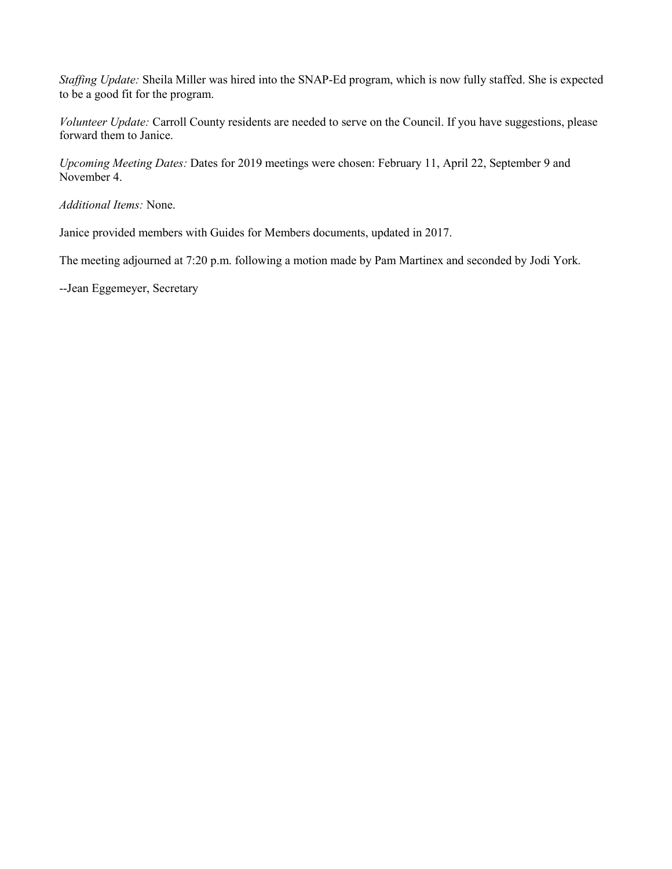*Staffing Update:* Sheila Miller was hired into the SNAP-Ed program, which is now fully staffed. She is expected to be a good fit for the program.

*Volunteer Update:* Carroll County residents are needed to serve on the Council. If you have suggestions, please forward them to Janice.

*Upcoming Meeting Dates:* Dates for 2019 meetings were chosen: February 11, April 22, September 9 and November 4.

*Additional Items:* None.

Janice provided members with Guides for Members documents, updated in 2017.

The meeting adjourned at 7:20 p.m. following a motion made by Pam Martinex and seconded by Jodi York.

--Jean Eggemeyer, Secretary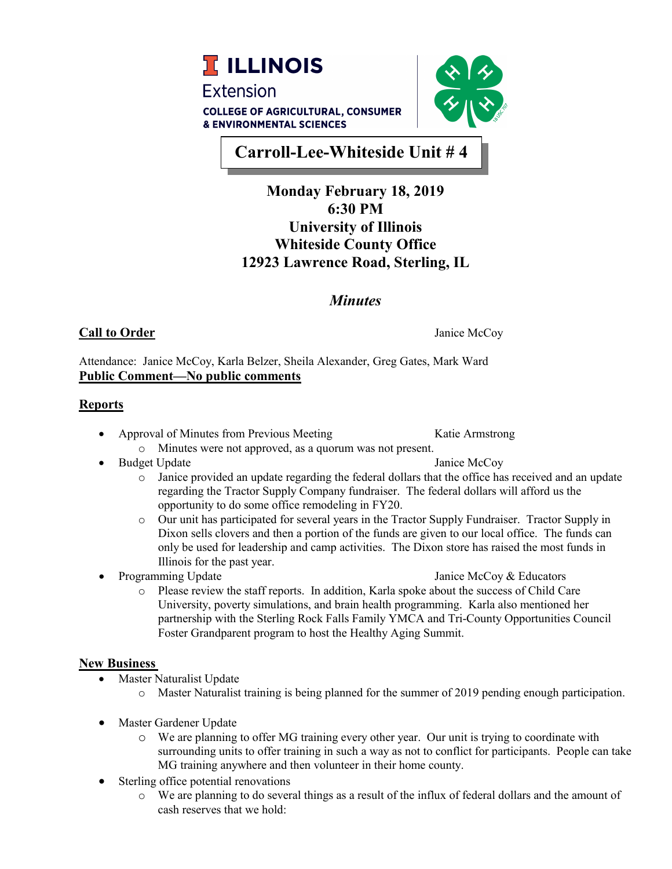



**Carroll-Lee-Whiteside Unit # 4** 

# **Monday February 18, 2019 6:30 PM University of Illinois Whiteside County Office 12923 Lawrence Road, Sterling, IL**

# *Minutes*

# **Call to Order** Janice McCoy

Attendance: Janice McCoy, Karla Belzer, Sheila Alexander, Greg Gates, Mark Ward **Public Comment—No public comments** 

# **Reports**

- Approval of Minutes from Previous Meeting Katie Armstrong
	- o Minutes were not approved, as a quorum was not present.
- Budget Update **Janice McCoy**

- o Janice provided an update regarding the federal dollars that the office has received and an update regarding the Tractor Supply Company fundraiser. The federal dollars will afford us the opportunity to do some office remodeling in FY20.
- o Our unit has participated for several years in the Tractor Supply Fundraiser. Tractor Supply in Dixon sells clovers and then a portion of the funds are given to our local office. The funds can only be used for leadership and camp activities. The Dixon store has raised the most funds in Illinois for the past year.
- 

**• Programming Update** *Janice McCoy & Educators* 

o Please review the staff reports. In addition, Karla spoke about the success of Child Care University, poverty simulations, and brain health programming. Karla also mentioned her partnership with the Sterling Rock Falls Family YMCA and Tri-County Opportunities Council Foster Grandparent program to host the Healthy Aging Summit.

# **New Business**

- Master Naturalist Update
	- o Master Naturalist training is being planned for the summer of 2019 pending enough participation.
- Master Gardener Update
	- o We are planning to offer MG training every other year. Our unit is trying to coordinate with surrounding units to offer training in such a way as not to conflict for participants. People can take MG training anywhere and then volunteer in their home county.
- Sterling office potential renovations
	- o We are planning to do several things as a result of the influx of federal dollars and the amount of cash reserves that we hold: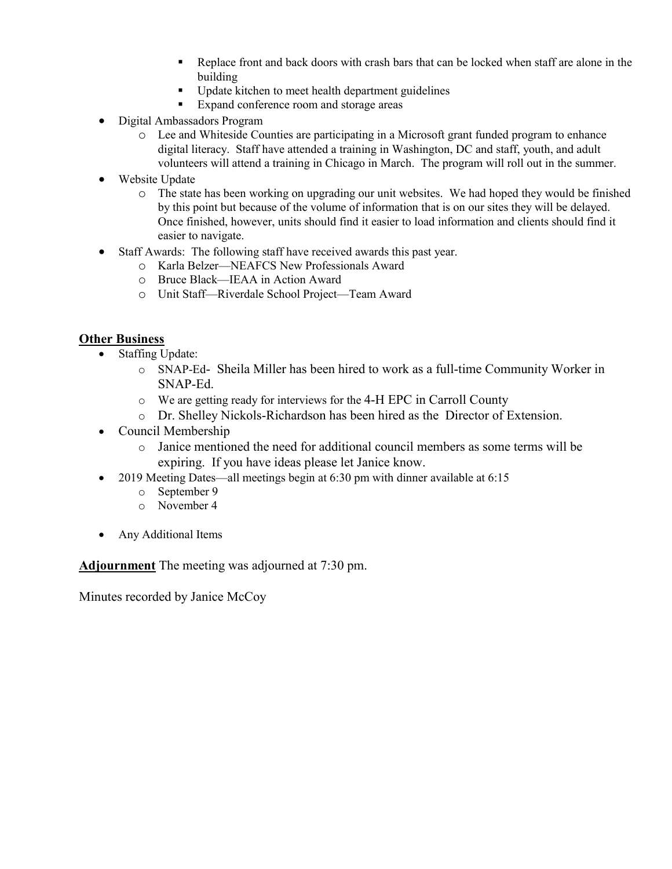- Replace front and back doors with crash bars that can be locked when staff are alone in the building
- **•** Update kitchen to meet health department guidelines
- Expand conference room and storage areas
- Digital Ambassadors Program
	- o Lee and Whiteside Counties are participating in a Microsoft grant funded program to enhance digital literacy. Staff have attended a training in Washington, DC and staff, youth, and adult volunteers will attend a training in Chicago in March. The program will roll out in the summer.
- Website Update
	- o The state has been working on upgrading our unit websites. We had hoped they would be finished by this point but because of the volume of information that is on our sites they will be delayed. Once finished, however, units should find it easier to load information and clients should find it easier to navigate.
- Staff Awards: The following staff have received awards this past year.
	- o Karla Belzer—NEAFCS New Professionals Award
	- o Bruce Black—IEAA in Action Award
	- o Unit Staff—Riverdale School Project—Team Award

# **Other Business**

- Staffing Update:
	- o SNAP-Ed- Sheila Miller has been hired to work as a full-time Community Worker in SNAP-Ed.
	- o We are getting ready for interviews for the 4-H EPC in Carroll County
	- o Dr. Shelley Nickols-Richardson has been hired as the Director of Extension.
- Council Membership
	- o Janice mentioned the need for additional council members as some terms will be expiring. If you have ideas please let Janice know.
- 2019 Meeting Dates—all meetings begin at 6:30 pm with dinner available at 6:15
	- o September 9
	- o November 4
- Any Additional Items

**Adjournment** The meeting was adjourned at 7:30 pm.

Minutes recorded by Janice McCoy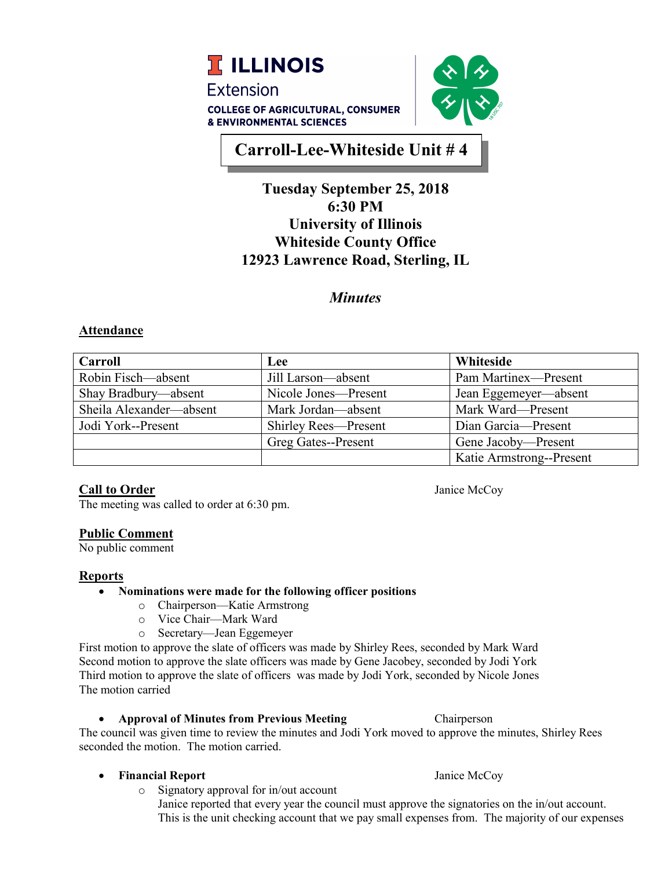

# **Carroll-Lee-Whiteside Unit # 4**

# **Tuesday September 25, 2018 6:30 PM University of Illinois Whiteside County Office 12923 Lawrence Road, Sterling, IL**

# *Minutes*

# **Attendance**

| <b>Carroll</b>          | Lee                         | Whiteside                |
|-------------------------|-----------------------------|--------------------------|
| Robin Fisch—absent      | Jill Larson—absent          | Pam Martinex-Present     |
| Shay Bradbury—absent    | Nicole Jones—Present        | Jean Eggemeyer—absent    |
| Sheila Alexander—absent | Mark Jordan—absent          | Mark Ward-Present        |
| Jodi York--Present      | <b>Shirley Rees-Present</b> | Dian Garcia-Present      |
|                         | Greg Gates--Present         | Gene Jacoby-Present      |
|                         |                             | Katie Armstrong--Present |

# **Call to Order** Janice McCoy

The meeting was called to order at 6:30 pm.

# **Public Comment**

No public comment

# **Reports**

- **Nominations were made for the following officer positions**
	- o Chairperson—Katie Armstrong
	- o Vice Chair—Mark Ward
	- o Secretary—Jean Eggemeyer

First motion to approve the slate of officers was made by Shirley Rees, seconded by Mark Ward Second motion to approve the slate officers was made by Gene Jacobey, seconded by Jodi York Third motion to approve the slate of officers was made by Jodi York, seconded by Nicole Jones The motion carried

# • **Approval of Minutes from Previous Meeting** Chairperson

The council was given time to review the minutes and Jodi York moved to approve the minutes, Shirley Rees seconded the motion. The motion carried.

# • **Financial Report** Janice McCoy

o Signatory approval for in/out account

Janice reported that every year the council must approve the signatories on the in/out account. This is the unit checking account that we pay small expenses from. The majority of our expenses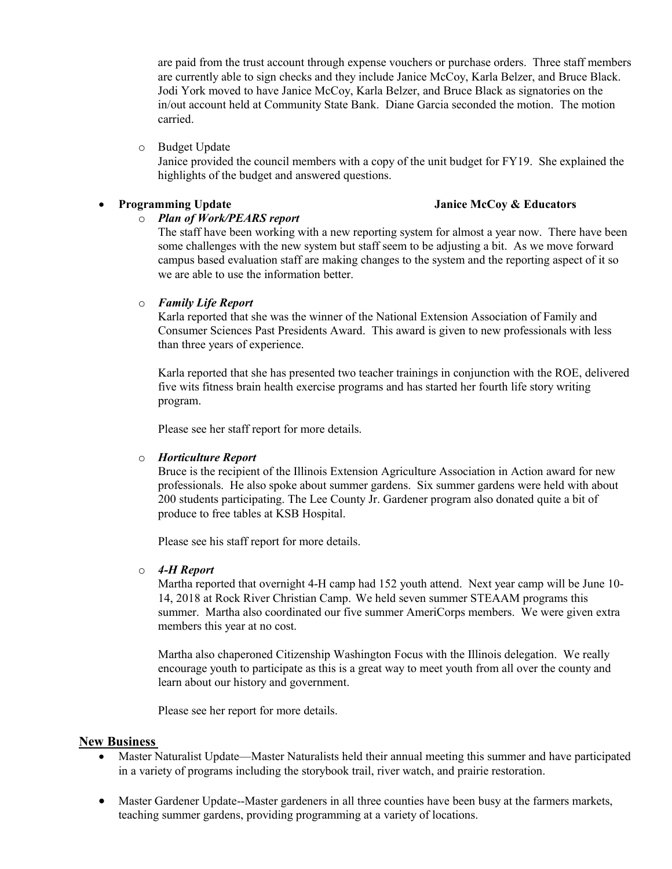are paid from the trust account through expense vouchers or purchase orders. Three staff members are currently able to sign checks and they include Janice McCoy, Karla Belzer, and Bruce Black. Jodi York moved to have Janice McCoy, Karla Belzer, and Bruce Black as signatories on the in/out account held at Community State Bank. Diane Garcia seconded the motion. The motion carried.

o Budget Update

Janice provided the council members with a copy of the unit budget for FY19. She explained the highlights of the budget and answered questions.

## • **Programming Update Janice McCoy & Educators**

# o *Plan of Work/PEARS report*

The staff have been working with a new reporting system for almost a year now. There have been some challenges with the new system but staff seem to be adjusting a bit. As we move forward campus based evaluation staff are making changes to the system and the reporting aspect of it so we are able to use the information better.

## o *Family Life Report*

Karla reported that she was the winner of the National Extension Association of Family and Consumer Sciences Past Presidents Award. This award is given to new professionals with less than three years of experience.

Karla reported that she has presented two teacher trainings in conjunction with the ROE, delivered five wits fitness brain health exercise programs and has started her fourth life story writing program.

Please see her staff report for more details.

## o *Horticulture Report*

Bruce is the recipient of the Illinois Extension Agriculture Association in Action award for new professionals. He also spoke about summer gardens. Six summer gardens were held with about 200 students participating. The Lee County Jr. Gardener program also donated quite a bit of produce to free tables at KSB Hospital.

Please see his staff report for more details.

## o *4-H Report*

Martha reported that overnight 4-H camp had 152 youth attend. Next year camp will be June 10- 14, 2018 at Rock River Christian Camp. We held seven summer STEAAM programs this summer. Martha also coordinated our five summer AmeriCorps members. We were given extra members this year at no cost.

Martha also chaperoned Citizenship Washington Focus with the Illinois delegation. We really encourage youth to participate as this is a great way to meet youth from all over the county and learn about our history and government.

Please see her report for more details.

## **New Business**

- Master Naturalist Update—Master Naturalists held their annual meeting this summer and have participated in a variety of programs including the storybook trail, river watch, and prairie restoration.
- Master Gardener Update--Master gardeners in all three counties have been busy at the farmers markets, teaching summer gardens, providing programming at a variety of locations.